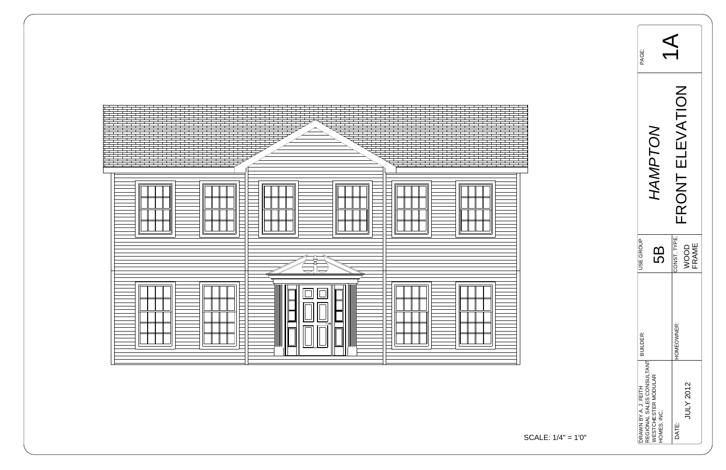

| PAGE:                |                                                                 |                           |  |
|----------------------|-----------------------------------------------------------------|---------------------------|--|
|                      | $\sum_{i=1}^{n}$                                                | <b>KOR</b>                |  |
| JSE GROUP            | LO                                                              | CONST. TYPE.              |  |
| <b>BUILDER:</b>      |                                                                 | HOMEOWNER:                |  |
| DRAWN BY A. J. FEITH | REGIONAL SALES CONSULTANT<br>WESTCHESTER MODULAR<br>HOMES, INC. | <b>JULY 2012</b><br>DATE: |  |

$$
ALE: 1/4" = 1'0"
$$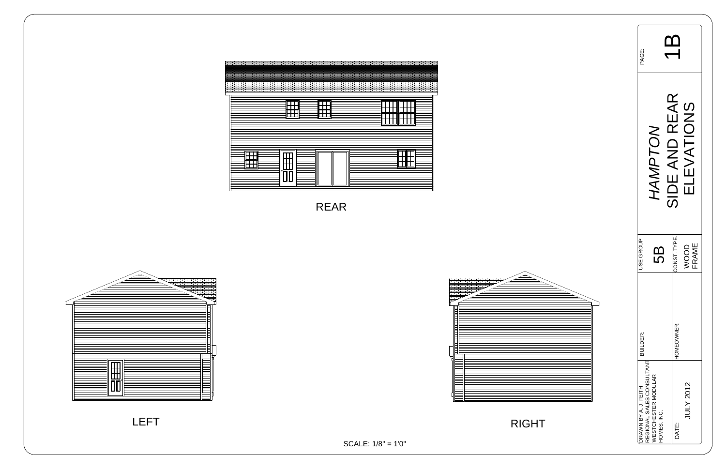| PAGE:                |                                                                        |                                            |  |
|----------------------|------------------------------------------------------------------------|--------------------------------------------|--|
|                      | <b>NOLC</b><br><b>JAM.</b>                                             | SIDE AND REAR<br><b>EVATIONS</b>           |  |
| <b>JSE GROUP</b>     | 5                                                                      | CONST. TYPE.<br><b>FRAME</b><br><b>OOO</b> |  |
| BUILDER:             |                                                                        | HOMEOWNER:                                 |  |
| DRAWN BY A. J. FEITH | REGIONAL SALES CONSULTANT<br><b>VESTCHESTER MODULAR</b><br>HOMES, INC. | JULY 2012<br>DATE:                         |  |

LEFT



SCALE: 1/8" = 1'0"

RIGHT





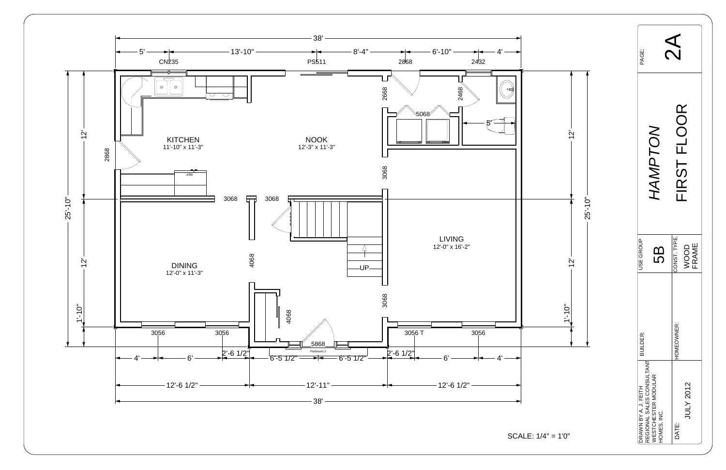